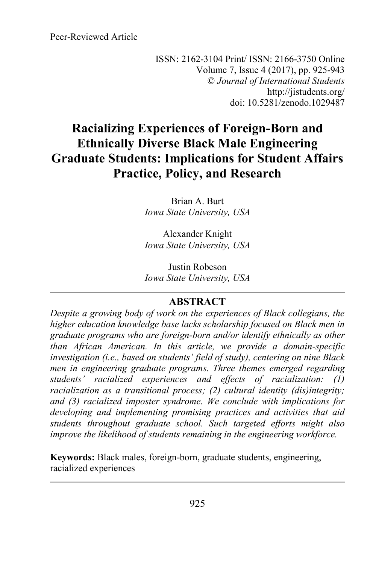Peer-Reviewed Article

ISSN: 2162-3104 Print/ ISSN: 2166-3750 Online Volume 7, Issue 4 (2017), pp. 925-943 © *Journal of International Students* http://jistudents.org/ doi: 10.5281/zenodo.1029487

# **Racializing Experiences of Foreign-Born and Ethnically Diverse Black Male Engineering Graduate Students: Implications for Student Affairs Practice, Policy, and Research**

Brian A. Burt *Iowa State University, USA*

Alexander Knight *Iowa State University, USA*

Justin Robeson *Iowa State University, USA*

## **ABSTRACT**

*Despite a growing body of work on the experiences of Black collegians, the higher education knowledge base lacks scholarship focused on Black men in graduate programs who are foreign-born and/or identify ethnically as other than African American. In this article, we provide a domain-specific investigation (i.e., based on students' field of study), centering on nine Black men in engineering graduate programs. Three themes emerged regarding students' racialized experiences and effects of racialization: (1) racialization as a transitional process; (2) cultural identity (dis)integrity; and (3) racialized imposter syndrome. We conclude with implications for developing and implementing promising practices and activities that aid students throughout graduate school. Such targeted efforts might also improve the likelihood of students remaining in the engineering workforce.* 

**Keywords:** Black males, foreign-born, graduate students, engineering, racialized experiences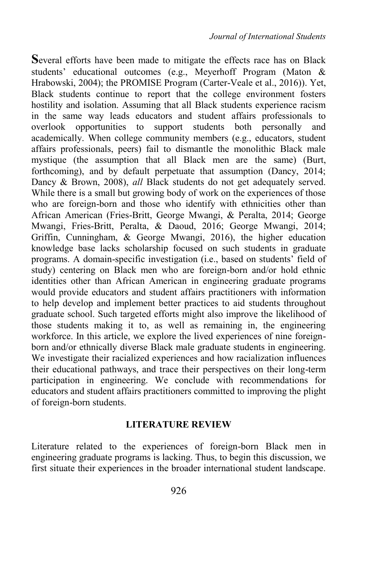**S**everal efforts have been made to mitigate the effects race has on Black students' educational outcomes (e.g., Meyerhoff Program (Maton & Hrabowski, 2004); the PROMISE Program (Carter-Veale et al., 2016)). Yet, Black students continue to report that the college environment fosters hostility and isolation. Assuming that all Black students experience racism in the same way leads educators and student affairs professionals to overlook opportunities to support students both personally and academically. When college community members (e.g., educators, student affairs professionals, peers) fail to dismantle the monolithic Black male mystique (the assumption that all Black men are the same) (Burt, forthcoming), and by default perpetuate that assumption (Dancy, 2014; Dancy & Brown, 2008), *all* Black students do not get adequately served. While there is a small but growing body of work on the experiences of those who are foreign-born and those who identify with ethnicities other than African American (Fries-Britt, George Mwangi, & Peralta, 2014; George Mwangi, Fries-Britt, Peralta, & Daoud, 2016; George Mwangi, 2014; Griffin, Cunningham, & George Mwangi, 2016), the higher education knowledge base lacks scholarship focused on such students in graduate programs. A domain-specific investigation (i.e., based on students' field of study) centering on Black men who are foreign-born and/or hold ethnic identities other than African American in engineering graduate programs would provide educators and student affairs practitioners with information to help develop and implement better practices to aid students throughout graduate school. Such targeted efforts might also improve the likelihood of those students making it to, as well as remaining in, the engineering workforce. In this article, we explore the lived experiences of nine foreignborn and/or ethnically diverse Black male graduate students in engineering. We investigate their racialized experiences and how racialization influences their educational pathways, and trace their perspectives on their long-term participation in engineering. We conclude with recommendations for educators and student affairs practitioners committed to improving the plight of foreign-born students.

## **LITERATURE REVIEW**

Literature related to the experiences of foreign-born Black men in engineering graduate programs is lacking. Thus, to begin this discussion, we first situate their experiences in the broader international student landscape.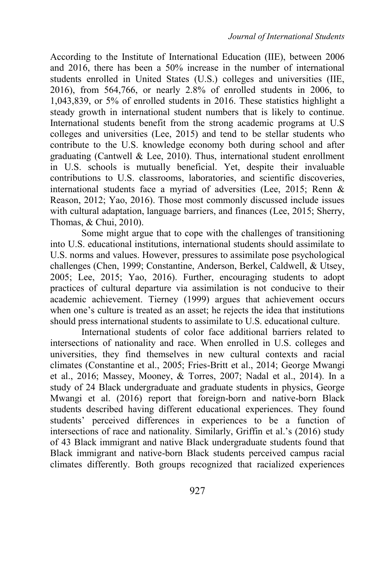According to the Institute of International Education (IIE), between 2006 and 2016, there has been a 50% increase in the number of international students enrolled in United States (U.S.) colleges and universities (IIE, 2016), from 564,766, or nearly 2.8% of enrolled students in 2006, to 1,043,839, or 5% of enrolled students in 2016. These statistics highlight a steady growth in international student numbers that is likely to continue. International students benefit from the strong academic programs at U.S colleges and universities (Lee, 2015) and tend to be stellar students who contribute to the U.S. knowledge economy both during school and after graduating (Cantwell & Lee, 2010). Thus, international student enrollment in U.S. schools is mutually beneficial. Yet, despite their invaluable contributions to U.S. classrooms, laboratories, and scientific discoveries, international students face a myriad of adversities (Lee, 2015; Renn & Reason, 2012; Yao, 2016). Those most commonly discussed include issues with cultural adaptation, language barriers, and finances (Lee, 2015; Sherry, Thomas, & Chui, 2010).

Some might argue that to cope with the challenges of transitioning into U.S. educational institutions, international students should assimilate to U.S. norms and values. However, pressures to assimilate pose psychological challenges (Chen, 1999; Constantine, Anderson, Berkel, Caldwell, & Utsey, 2005; Lee, 2015; Yao, 2016). Further, encouraging students to adopt practices of cultural departure via assimilation is not conducive to their academic achievement. Tierney (1999) argues that achievement occurs when one's culture is treated as an asset; he rejects the idea that institutions should press international students to assimilate to U.S. educational culture.

International students of color face additional barriers related to intersections of nationality and race. When enrolled in U.S. colleges and universities, they find themselves in new cultural contexts and racial climates (Constantine et al., 2005; Fries-Britt et al., 2014; George Mwangi et al., 2016; Massey, Mooney, & Torres, 2007; Nadal et al., 2014). In a study of 24 Black undergraduate and graduate students in physics, George Mwangi et al. (2016) report that foreign-born and native-born Black students described having different educational experiences. They found students' perceived differences in experiences to be a function of intersections of race and nationality. Similarly, Griffin et al.'s (2016) study of 43 Black immigrant and native Black undergraduate students found that Black immigrant and native-born Black students perceived campus racial climates differently. Both groups recognized that racialized experiences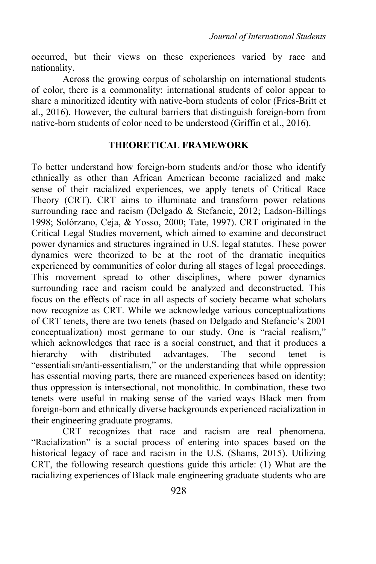occurred, but their views on these experiences varied by race and nationality.

Across the growing corpus of scholarship on international students of color, there is a commonality: international students of color appear to share a minoritized identity with native-born students of color (Fries-Britt et al., 2016). However, the cultural barriers that distinguish foreign-born from native-born students of color need to be understood (Griffin et al., 2016).

## **THEORETICAL FRAMEWORK**

To better understand how foreign-born students and/or those who identify ethnically as other than African American become racialized and make sense of their racialized experiences, we apply tenets of Critical Race Theory (CRT). CRT aims to illuminate and transform power relations surrounding race and racism (Delgado & Stefancic, 2012; Ladson-Billings 1998; Solórzano, Ceja, & Yosso, 2000; Tate, 1997). CRT originated in the Critical Legal Studies movement, which aimed to examine and deconstruct power dynamics and structures ingrained in U.S. legal statutes. These power dynamics were theorized to be at the root of the dramatic inequities experienced by communities of color during all stages of legal proceedings. This movement spread to other disciplines, where power dynamics surrounding race and racism could be analyzed and deconstructed. This focus on the effects of race in all aspects of society became what scholars now recognize as CRT. While we acknowledge various conceptualizations of CRT tenets, there are two tenets (based on Delgado and Stefancic's 2001 conceptualization) most germane to our study. One is "racial realism," which acknowledges that race is a social construct, and that it produces a hierarchy with distributed advantages. The second tenet is "essentialism/anti-essentialism," or the understanding that while oppression has essential moving parts, there are nuanced experiences based on identity; thus oppression is intersectional, not monolithic. In combination, these two tenets were useful in making sense of the varied ways Black men from foreign-born and ethnically diverse backgrounds experienced racialization in their engineering graduate programs.

CRT recognizes that race and racism are real phenomena. "Racialization" is a social process of entering into spaces based on the historical legacy of race and racism in the U.S. (Shams, 2015). Utilizing CRT, the following research questions guide this article: (1) What are the racializing experiences of Black male engineering graduate students who are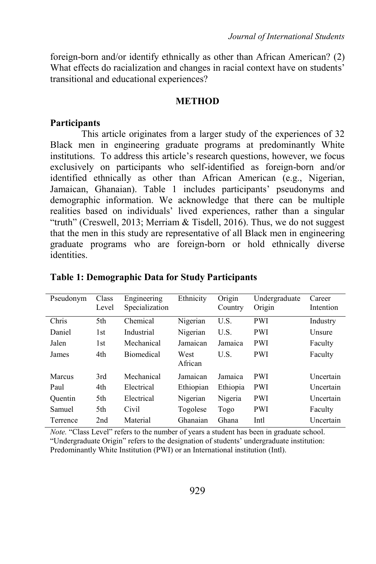foreign-born and/or identify ethnically as other than African American? (2) What effects do racialization and changes in racial context have on students' transitional and educational experiences?

#### **METHOD**

### **Participants**

This article originates from a larger study of the experiences of 32 Black men in engineering graduate programs at predominantly White institutions. To address this article's research questions, however, we focus exclusively on participants who self-identified as foreign-born and/or identified ethnically as other than African American (e.g., Nigerian, Jamaican, Ghanaian). Table 1 includes participants' pseudonyms and demographic information. We acknowledge that there can be multiple realities based on individuals' lived experiences, rather than a singular "truth" (Creswell, 2013; Merriam & Tisdell, 2016). Thus, we do not suggest that the men in this study are representative of all Black men in engineering graduate programs who are foreign-born or hold ethnically diverse identities.

| Pseudonym | Class<br>Level | Engineering<br>Specialization | Ethnicity       | Origin<br>Country | Undergraduate<br>Origin | Career<br>Intention |
|-----------|----------------|-------------------------------|-----------------|-------------------|-------------------------|---------------------|
| Chris     | 5th            | Chemical                      | Nigerian        | U.S.              | <b>PWI</b>              | Industry            |
| Daniel    | 1st            | Industrial                    | Nigerian        | U.S.              | <b>PWI</b>              | <b>Unsure</b>       |
| Jalen     | 1st            | Mechanical                    | Jamaican        | Jamaica           | <b>PWI</b>              | Faculty             |
| James     | 4th            | <b>Biomedical</b>             | West<br>African | U.S.              | <b>PWI</b>              | Faculty             |
| Marcus    | 3rd            | Mechanical                    | Jamaican        | Jamaica           | <b>PWI</b>              | Uncertain           |
| Paul      | 4th            | Electrical                    | Ethiopian       | Ethiopia          | <b>PWI</b>              | Uncertain           |
| Ouentin   | 5th            | Electrical                    | Nigerian        | Nigeria           | <b>PWI</b>              | Uncertain           |
| Samuel    | 5th            | Civil                         | Togolese        | Togo              | <b>PWI</b>              | Faculty             |
| Terrence  | 2nd            | Material                      | Ghanaian        | Ghana             | Intl                    | Uncertain           |

## **Table 1: Demographic Data for Study Participants**

*Note.* "Class Level" refers to the number of years a student has been in graduate school. "Undergraduate Origin" refers to the designation of students' undergraduate institution: Predominantly White Institution (PWI) or an International institution (Intl).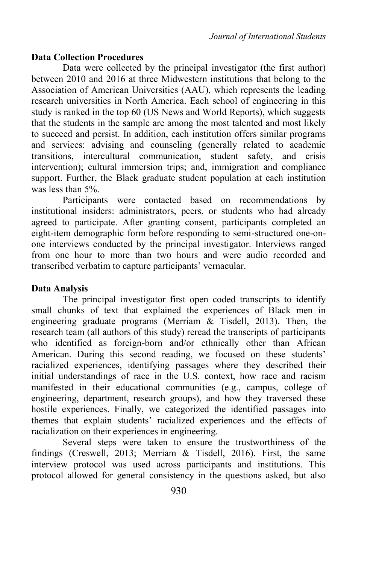## **Data Collection Procedures**

Data were collected by the principal investigator (the first author) between 2010 and 2016 at three Midwestern institutions that belong to the Association of American Universities (AAU), which represents the leading research universities in North America. Each school of engineering in this study is ranked in the top 60 (US News and World Reports), which suggests that the students in the sample are among the most talented and most likely to succeed and persist. In addition, each institution offers similar programs and services: advising and counseling (generally related to academic transitions, intercultural communication, student safety, and crisis intervention); cultural immersion trips; and, immigration and compliance support. Further, the Black graduate student population at each institution was less than 5%.

Participants were contacted based on recommendations by institutional insiders: administrators, peers, or students who had already agreed to participate. After granting consent, participants completed an eight-item demographic form before responding to semi-structured one-onone interviews conducted by the principal investigator. Interviews ranged from one hour to more than two hours and were audio recorded and transcribed verbatim to capture participants' vernacular.

## **Data Analysis**

The principal investigator first open coded transcripts to identify small chunks of text that explained the experiences of Black men in engineering graduate programs (Merriam & Tisdell, 2013). Then, the research team (all authors of this study) reread the transcripts of participants who identified as foreign-born and/or ethnically other than African American. During this second reading, we focused on these students' racialized experiences, identifying passages where they described their initial understandings of race in the U.S. context, how race and racism manifested in their educational communities (e.g., campus, college of engineering, department, research groups), and how they traversed these hostile experiences. Finally, we categorized the identified passages into themes that explain students' racialized experiences and the effects of racialization on their experiences in engineering.

Several steps were taken to ensure the trustworthiness of the findings (Creswell, 2013; Merriam & Tisdell, 2016). First, the same interview protocol was used across participants and institutions. This protocol allowed for general consistency in the questions asked, but also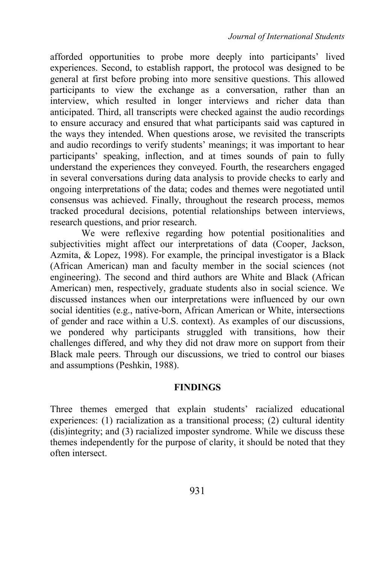afforded opportunities to probe more deeply into participants' lived experiences. Second, to establish rapport, the protocol was designed to be general at first before probing into more sensitive questions. This allowed participants to view the exchange as a conversation, rather than an interview, which resulted in longer interviews and richer data than anticipated. Third, all transcripts were checked against the audio recordings to ensure accuracy and ensured that what participants said was captured in the ways they intended. When questions arose, we revisited the transcripts and audio recordings to verify students' meanings; it was important to hear participants' speaking, inflection, and at times sounds of pain to fully understand the experiences they conveyed. Fourth, the researchers engaged in several conversations during data analysis to provide checks to early and ongoing interpretations of the data; codes and themes were negotiated until consensus was achieved. Finally, throughout the research process, memos tracked procedural decisions, potential relationships between interviews, research questions, and prior research.

We were reflexive regarding how potential positionalities and subjectivities might affect our interpretations of data (Cooper, Jackson, Azmita, & Lopez, 1998). For example, the principal investigator is a Black (African American) man and faculty member in the social sciences (not engineering). The second and third authors are White and Black (African American) men, respectively, graduate students also in social science. We discussed instances when our interpretations were influenced by our own social identities (e.g., native-born, African American or White, intersections of gender and race within a U.S. context). As examples of our discussions, we pondered why participants struggled with transitions, how their challenges differed, and why they did not draw more on support from their Black male peers. Through our discussions, we tried to control our biases and assumptions (Peshkin, 1988).

#### **FINDINGS**

Three themes emerged that explain students' racialized educational experiences: (1) racialization as a transitional process; (2) cultural identity (dis)integrity; and (3) racialized imposter syndrome. While we discuss these themes independently for the purpose of clarity, it should be noted that they often intersect.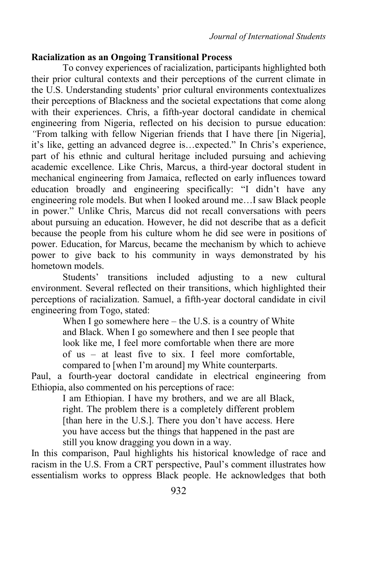## **Racialization as an Ongoing Transitional Process**

To convey experiences of racialization, participants highlighted both their prior cultural contexts and their perceptions of the current climate in the U.S. Understanding students' prior cultural environments contextualizes their perceptions of Blackness and the societal expectations that come along with their experiences. Chris, a fifth-year doctoral candidate in chemical engineering from Nigeria, reflected on his decision to pursue education: *"*From talking with fellow Nigerian friends that I have there [in Nigeria], it's like, getting an advanced degree is…expected." In Chris's experience, part of his ethnic and cultural heritage included pursuing and achieving academic excellence. Like Chris, Marcus, a third-year doctoral student in mechanical engineering from Jamaica, reflected on early influences toward education broadly and engineering specifically: "I didn't have any engineering role models. But when I looked around me…I saw Black people in power." Unlike Chris, Marcus did not recall conversations with peers about pursuing an education. However, he did not describe that as a deficit because the people from his culture whom he did see were in positions of power. Education, for Marcus, became the mechanism by which to achieve power to give back to his community in ways demonstrated by his hometown models.

Students' transitions included adjusting to a new cultural environment. Several reflected on their transitions, which highlighted their perceptions of racialization. Samuel, a fifth-year doctoral candidate in civil engineering from Togo, stated:

> When I go somewhere here – the U.S. is a country of White and Black. When I go somewhere and then I see people that look like me, I feel more comfortable when there are more of us – at least five to six. I feel more comfortable, compared to [when I'm around] my White counterparts.

Paul, a fourth-year doctoral candidate in electrical engineering from Ethiopia, also commented on his perceptions of race:

> I am Ethiopian. I have my brothers, and we are all Black, right. The problem there is a completely different problem [than here in the U.S.]. There you don't have access. Here you have access but the things that happened in the past are still you know dragging you down in a way.

In this comparison, Paul highlights his historical knowledge of race and racism in the U.S. From a CRT perspective, Paul's comment illustrates how essentialism works to oppress Black people. He acknowledges that both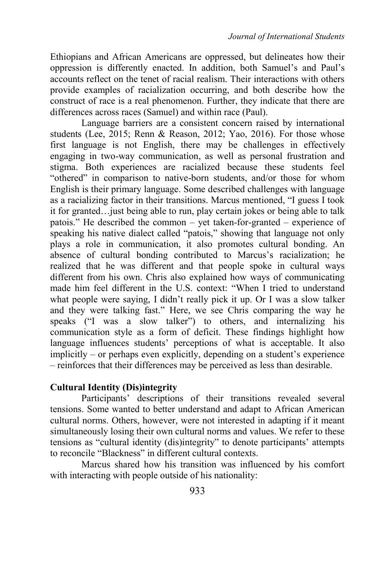Ethiopians and African Americans are oppressed, but delineates how their oppression is differently enacted. In addition, both Samuel's and Paul's accounts reflect on the tenet of racial realism. Their interactions with others provide examples of racialization occurring, and both describe how the construct of race is a real phenomenon. Further, they indicate that there are differences across races (Samuel) and within race (Paul).

Language barriers are a consistent concern raised by international students (Lee, 2015; Renn & Reason, 2012; Yao, 2016). For those whose first language is not English, there may be challenges in effectively engaging in two-way communication, as well as personal frustration and stigma. Both experiences are racialized because these students feel "othered" in comparison to native-born students, and/or those for whom English is their primary language. Some described challenges with language as a racializing factor in their transitions. Marcus mentioned, "I guess I took it for granted…just being able to run, play certain jokes or being able to talk patois." He described the common – yet taken-for-granted – experience of speaking his native dialect called "patois," showing that language not only plays a role in communication, it also promotes cultural bonding. An absence of cultural bonding contributed to Marcus's racialization; he realized that he was different and that people spoke in cultural ways different from his own. Chris also explained how ways of communicating made him feel different in the U.S. context: "When I tried to understand what people were saying, I didn't really pick it up. Or I was a slow talker and they were talking fast." Here, we see Chris comparing the way he speaks ("I was a slow talker") to others, and internalizing his communication style as a form of deficit. These findings highlight how language influences students' perceptions of what is acceptable. It also implicitly – or perhaps even explicitly, depending on a student's experience – reinforces that their differences may be perceived as less than desirable.

## **Cultural Identity (Dis)integrity**

Participants' descriptions of their transitions revealed several tensions. Some wanted to better understand and adapt to African American cultural norms. Others, however, were not interested in adapting if it meant simultaneously losing their own cultural norms and values. We refer to these tensions as "cultural identity (dis)integrity" to denote participants' attempts to reconcile "Blackness" in different cultural contexts.

Marcus shared how his transition was influenced by his comfort with interacting with people outside of his nationality: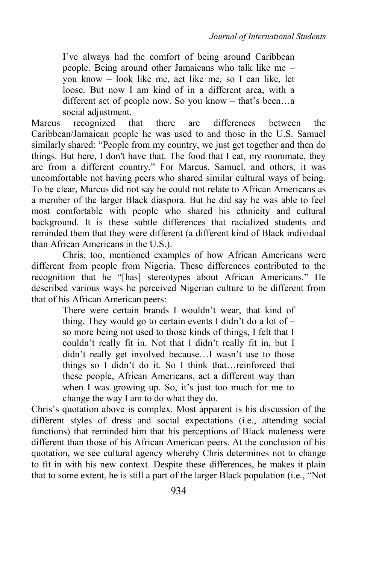I've always had the comfort of being around Caribbean people. Being around other Jamaicans who talk like me – you know – look like me, act like me, so I can like, let loose. But now I am kind of in a different area, with a different set of people now. So you know – that's been…a social adjustment.

Marcus recognized that there are differences between the Caribbean/Jamaican people he was used to and those in the U.S. Samuel similarly shared: "People from my country, we just get together and then do things. But here, I don't have that. The food that I eat, my roommate, they are from a different country." For Marcus, Samuel, and others, it was uncomfortable not having peers who shared similar cultural ways of being. To be clear, Marcus did not say he could not relate to African Americans as a member of the larger Black diaspora. But he did say he was able to feel most comfortable with people who shared his ethnicity and cultural background. It is these subtle differences that racialized students and reminded them that they were different (a different kind of Black individual than African Americans in the U.S.).

Chris, too, mentioned examples of how African Americans were different from people from Nigeria. These differences contributed to the recognition that he "[has] stereotypes about African Americans." He described various ways he perceived Nigerian culture to be different from that of his African American peers:

> There were certain brands I wouldn't wear, that kind of thing. They would go to certain events I didn't do a lot of  $$ so more being not used to those kinds of things, I felt that I couldn't really fit in. Not that I didn't really fit in, but I didn't really get involved because…I wasn't use to those things so I didn't do it. So I think that…reinforced that these people, African Americans, act a different way than when I was growing up. So, it's just too much for me to change the way I am to do what they do.

Chris's quotation above is complex. Most apparent is his discussion of the different styles of dress and social expectations (i.e., attending social functions) that reminded him that his perceptions of Black maleness were different than those of his African American peers. At the conclusion of his quotation, we see cultural agency whereby Chris determines not to change to fit in with his new context. Despite these differences, he makes it plain that to some extent, he is still a part of the larger Black population (i.e., "Not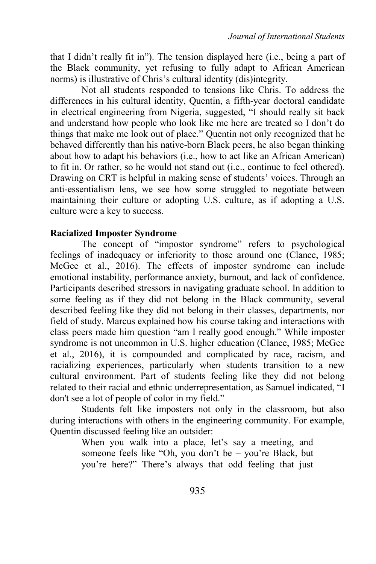that I didn't really fit in"). The tension displayed here (i.e., being a part of the Black community, yet refusing to fully adapt to African American norms) is illustrative of Chris's cultural identity (dis)integrity.

Not all students responded to tensions like Chris. To address the differences in his cultural identity, Quentin, a fifth-year doctoral candidate in electrical engineering from Nigeria, suggested, "I should really sit back and understand how people who look like me here are treated so I don't do things that make me look out of place." Quentin not only recognized that he behaved differently than his native-born Black peers, he also began thinking about how to adapt his behaviors (i.e., how to act like an African American) to fit in. Or rather, so he would not stand out (i.e., continue to feel othered). Drawing on CRT is helpful in making sense of students' voices. Through an anti-essentialism lens, we see how some struggled to negotiate between maintaining their culture or adopting U.S. culture, as if adopting a U.S. culture were a key to success.

## **Racialized Imposter Syndrome**

The concept of "impostor syndrome" refers to psychological feelings of inadequacy or inferiority to those around one (Clance, 1985; McGee et al., 2016). The effects of imposter syndrome can include emotional instability, performance anxiety, burnout, and lack of confidence. Participants described stressors in navigating graduate school. In addition to some feeling as if they did not belong in the Black community, several described feeling like they did not belong in their classes, departments, nor field of study. Marcus explained how his course taking and interactions with class peers made him question "am I really good enough." While imposter syndrome is not uncommon in U.S. higher education (Clance, 1985; McGee et al., 2016), it is compounded and complicated by race, racism, and racializing experiences, particularly when students transition to a new cultural environment. Part of students feeling like they did not belong related to their racial and ethnic underrepresentation, as Samuel indicated, "I don't see a lot of people of color in my field."

Students felt like imposters not only in the classroom, but also during interactions with others in the engineering community. For example, Quentin discussed feeling like an outsider:

When you walk into a place, let's say a meeting, and someone feels like "Oh, you don't be – you're Black, but you're here?" There's always that odd feeling that just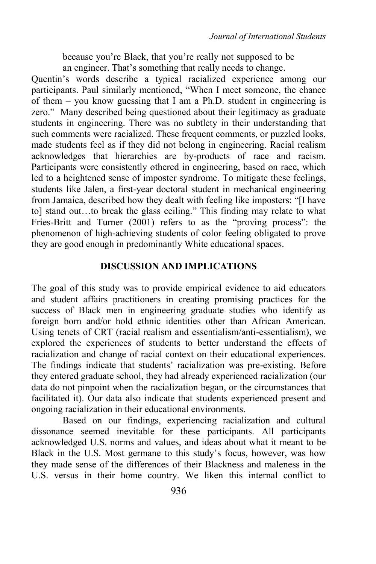because you're Black, that you're really not supposed to be an engineer. That's something that really needs to change.

Quentin's words describe a typical racialized experience among our participants. Paul similarly mentioned, "When I meet someone, the chance of them – you know guessing that I am a Ph.D. student in engineering is zero." Many described being questioned about their legitimacy as graduate students in engineering. There was no subtlety in their understanding that such comments were racialized. These frequent comments, or puzzled looks, made students feel as if they did not belong in engineering. Racial realism acknowledges that hierarchies are by-products of race and racism. Participants were consistently othered in engineering, based on race, which led to a heightened sense of imposter syndrome. To mitigate these feelings, students like Jalen, a first-year doctoral student in mechanical engineering from Jamaica, described how they dealt with feeling like imposters: "[I have to] stand out…to break the glass ceiling." This finding may relate to what Fries-Britt and Turner (2001) refers to as the "proving process": the phenomenon of high-achieving students of color feeling obligated to prove they are good enough in predominantly White educational spaces.

## **DISCUSSION AND IMPLICATIONS**

The goal of this study was to provide empirical evidence to aid educators and student affairs practitioners in creating promising practices for the success of Black men in engineering graduate studies who identify as foreign born and/or hold ethnic identities other than African American. Using tenets of CRT (racial realism and essentialism/anti-essentialism), we explored the experiences of students to better understand the effects of racialization and change of racial context on their educational experiences. The findings indicate that students' racialization was pre-existing. Before they entered graduate school, they had already experienced racialization (our data do not pinpoint when the racialization began, or the circumstances that facilitated it). Our data also indicate that students experienced present and ongoing racialization in their educational environments.

Based on our findings, experiencing racialization and cultural dissonance seemed inevitable for these participants. All participants acknowledged U.S. norms and values, and ideas about what it meant to be Black in the U.S. Most germane to this study's focus, however, was how they made sense of the differences of their Blackness and maleness in the U.S. versus in their home country. We liken this internal conflict to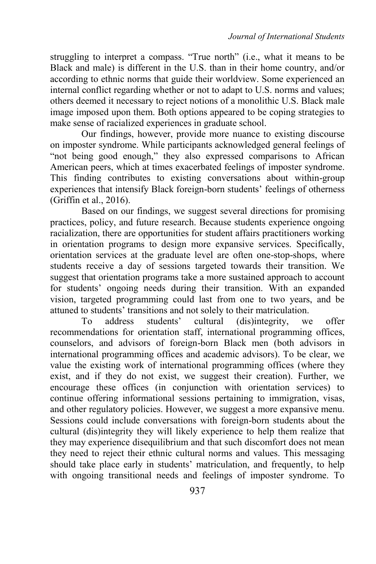struggling to interpret a compass. "True north" (i.e., what it means to be Black and male) is different in the U.S. than in their home country, and/or according to ethnic norms that guide their worldview. Some experienced an internal conflict regarding whether or not to adapt to U.S. norms and values; others deemed it necessary to reject notions of a monolithic U.S. Black male image imposed upon them. Both options appeared to be coping strategies to make sense of racialized experiences in graduate school.

Our findings, however, provide more nuance to existing discourse on imposter syndrome. While participants acknowledged general feelings of "not being good enough," they also expressed comparisons to African American peers, which at times exacerbated feelings of imposter syndrome. This finding contributes to existing conversations about within-group experiences that intensify Black foreign-born students' feelings of otherness (Griffin et al., 2016).

Based on our findings, we suggest several directions for promising practices, policy, and future research. Because students experience ongoing racialization, there are opportunities for student affairs practitioners working in orientation programs to design more expansive services. Specifically, orientation services at the graduate level are often one-stop-shops, where students receive a day of sessions targeted towards their transition. We suggest that orientation programs take a more sustained approach to account for students' ongoing needs during their transition. With an expanded vision, targeted programming could last from one to two years, and be attuned to students' transitions and not solely to their matriculation.

To address students' cultural (dis)integrity, we offer recommendations for orientation staff, international programming offices, counselors, and advisors of foreign-born Black men (both advisors in international programming offices and academic advisors). To be clear, we value the existing work of international programming offices (where they exist, and if they do not exist, we suggest their creation). Further, we encourage these offices (in conjunction with orientation services) to continue offering informational sessions pertaining to immigration, visas, and other regulatory policies. However, we suggest a more expansive menu. Sessions could include conversations with foreign-born students about the cultural (dis)integrity they will likely experience to help them realize that they may experience disequilibrium and that such discomfort does not mean they need to reject their ethnic cultural norms and values. This messaging should take place early in students' matriculation, and frequently, to help with ongoing transitional needs and feelings of imposter syndrome. To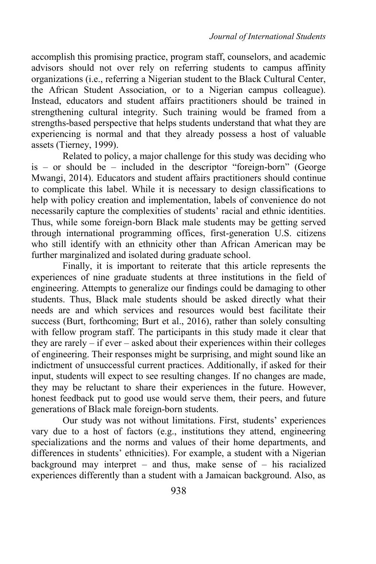accomplish this promising practice, program staff, counselors, and academic advisors should not over rely on referring students to campus affinity organizations (i.e., referring a Nigerian student to the Black Cultural Center, the African Student Association, or to a Nigerian campus colleague). Instead, educators and student affairs practitioners should be trained in strengthening cultural integrity. Such training would be framed from a strengths-based perspective that helps students understand that what they are experiencing is normal and that they already possess a host of valuable assets (Tierney, 1999).

Related to policy, a major challenge for this study was deciding who is – or should be – included in the descriptor "foreign-born" (George Mwangi, 2014). Educators and student affairs practitioners should continue to complicate this label. While it is necessary to design classifications to help with policy creation and implementation, labels of convenience do not necessarily capture the complexities of students' racial and ethnic identities. Thus, while some foreign-born Black male students may be getting served through international programming offices, first-generation U.S. citizens who still identify with an ethnicity other than African American may be further marginalized and isolated during graduate school.

Finally, it is important to reiterate that this article represents the experiences of nine graduate students at three institutions in the field of engineering. Attempts to generalize our findings could be damaging to other students. Thus, Black male students should be asked directly what their needs are and which services and resources would best facilitate their success (Burt, forthcoming; Burt et al., 2016), rather than solely consulting with fellow program staff. The participants in this study made it clear that they are rarely – if ever – asked about their experiences within their colleges of engineering. Their responses might be surprising, and might sound like an indictment of unsuccessful current practices. Additionally, if asked for their input, students will expect to see resulting changes. If no changes are made, they may be reluctant to share their experiences in the future. However, honest feedback put to good use would serve them, their peers, and future generations of Black male foreign-born students.

Our study was not without limitations. First, students' experiences vary due to a host of factors (e.g., institutions they attend, engineering specializations and the norms and values of their home departments, and differences in students' ethnicities). For example, a student with a Nigerian background may interpret – and thus, make sense of  $-$  his racialized experiences differently than a student with a Jamaican background. Also, as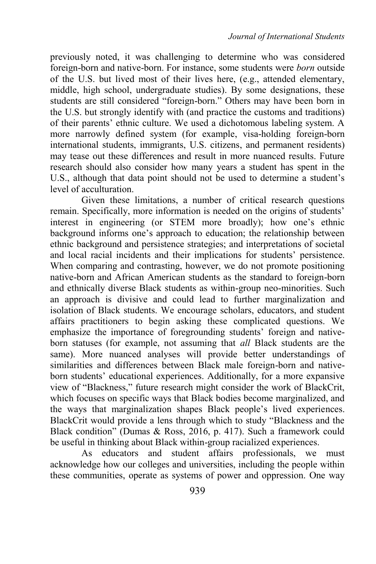previously noted, it was challenging to determine who was considered foreign-born and native-born. For instance, some students were *born* outside of the U.S. but lived most of their lives here, (e.g., attended elementary, middle, high school, undergraduate studies). By some designations, these students are still considered "foreign-born." Others may have been born in the U.S. but strongly identify with (and practice the customs and traditions) of their parents' ethnic culture. We used a dichotomous labeling system. A more narrowly defined system (for example, visa-holding foreign-born international students, immigrants, U.S. citizens, and permanent residents) may tease out these differences and result in more nuanced results. Future research should also consider how many years a student has spent in the U.S., although that data point should not be used to determine a student's level of acculturation.

Given these limitations, a number of critical research questions remain. Specifically, more information is needed on the origins of students' interest in engineering (or STEM more broadly); how one's ethnic background informs one's approach to education; the relationship between ethnic background and persistence strategies; and interpretations of societal and local racial incidents and their implications for students' persistence. When comparing and contrasting, however, we do not promote positioning native-born and African American students as the standard to foreign-born and ethnically diverse Black students as within-group neo-minorities. Such an approach is divisive and could lead to further marginalization and isolation of Black students. We encourage scholars, educators, and student affairs practitioners to begin asking these complicated questions. We emphasize the importance of foregrounding students' foreign and nativeborn statuses (for example, not assuming that *all* Black students are the same). More nuanced analyses will provide better understandings of similarities and differences between Black male foreign-born and nativeborn students' educational experiences. Additionally, for a more expansive view of "Blackness," future research might consider the work of BlackCrit, which focuses on specific ways that Black bodies become marginalized, and the ways that marginalization shapes Black people's lived experiences. BlackCrit would provide a lens through which to study "Blackness and the Black condition" (Dumas & Ross, 2016, p. 417). Such a framework could be useful in thinking about Black within-group racialized experiences.

As educators and student affairs professionals, we must acknowledge how our colleges and universities, including the people within these communities, operate as systems of power and oppression. One way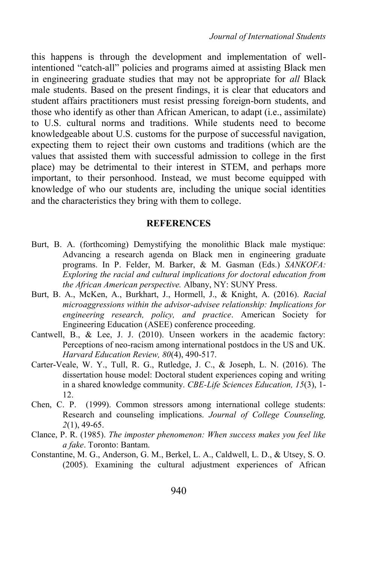this happens is through the development and implementation of wellintentioned "catch-all" policies and programs aimed at assisting Black men in engineering graduate studies that may not be appropriate for *all* Black male students. Based on the present findings, it is clear that educators and student affairs practitioners must resist pressing foreign-born students, and those who identify as other than African American, to adapt (i.e., assimilate) to U.S. cultural norms and traditions. While students need to become knowledgeable about U.S. customs for the purpose of successful navigation, expecting them to reject their own customs and traditions (which are the values that assisted them with successful admission to college in the first place) may be detrimental to their interest in STEM, and perhaps more important, to their personhood. Instead, we must become equipped with knowledge of who our students are, including the unique social identities and the characteristics they bring with them to college.

#### **REFERENCES**

- Burt, B. A. (forthcoming) Demystifying the monolithic Black male mystique: Advancing a research agenda on Black men in engineering graduate programs. In P. Felder, M. Barker, & M. Gasman (Eds.) *SANKOFA: Exploring the racial and cultural implications for doctoral education from the African American perspective.* Albany, NY: SUNY Press.
- Burt, B. A., McKen, A., Burkhart, J., Hormell, J., & Knight, A. (2016). *Racial microaggressions within the advisor-advisee relationship: Implications for engineering research, policy, and practice*. American Society for Engineering Education (ASEE) conference proceeding.
- Cantwell, B., & Lee, J. J. (2010). Unseen workers in the academic factory: Perceptions of neo-racism among international postdocs in the US and UK. *Harvard Education Review, 80*(4), 490-517.
- Carter-Veale, W. Y., Tull, R. G., Rutledge, J. C., & Joseph, L. N. (2016). The dissertation house model: Doctoral student experiences coping and writing in a shared knowledge community. *CBE-Life Sciences Education, 15*(3), 1- 12.
- Chen, C. P. (1999). Common stressors among international college students: Research and counseling implications. *Journal of College Counseling, 2*(1), 49-65.
- Clance, P. R. (1985). *The imposter phenomenon: When success makes you feel like a fake*. Toronto: Bantam.
- Constantine, M. G., Anderson, G. M., Berkel, L. A., Caldwell, L. D., & Utsey, S. O. (2005). Examining the cultural adjustment experiences of African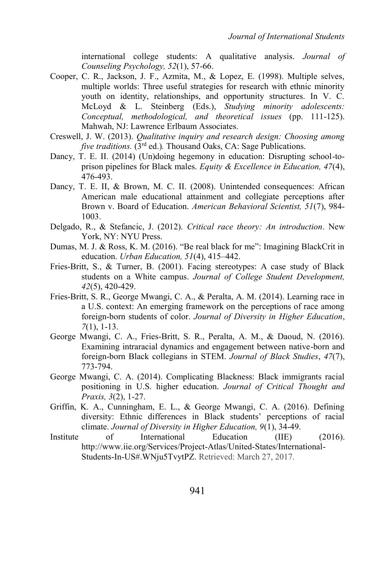international college students: A qualitative analysis. *Journal of Counseling Psychology, 52*(1), 57-66.

- Cooper, C. R., Jackson, J. F., Azmita, M., & Lopez, E. (1998). Multiple selves, multiple worlds: Three useful strategies for research with ethnic minority youth on identity, relationships, and opportunity structures. In V. C. McLoyd & L. Steinberg (Eds.), *Studying minority adolescents: Conceptual, methodological, and theoretical issues* (pp. 111-125). Mahwah, NJ: Lawrence Erlbaum Associates.
- Creswell, J. W. (2013). *Qualitative inquiry and research design: Choosing among five traditions.* (3<sup>rd</sup> ed.). Thousand Oaks, CA: Sage Publications.
- Dancy, T. E. II. (2014) (Un)doing hegemony in education: Disrupting school-toprison pipelines for Black males. *Equity & Excellence in Education, 47*(4), 476-493.
- Dancy, T. E. II, & Brown, M. C. II. (2008). Unintended consequences: African American male educational attainment and collegiate perceptions after Brown v. Board of Education. *American Behavioral Scientist, 51*(7), 984- 1003.
- Delgado, R., & Stefancic, J. (2012). *Critical race theory: An introduction*. New York, NY: NYU Press.
- Dumas, M. J. & Ross, K. M. (2016). "Be real black for me": Imagining BlackCrit in education. *Urban Education, 51*(4), 415–442.
- Fries-Britt, S., & Turner, B. (2001). Facing stereotypes: A case study of Black students on a White campus. *Journal of College Student Development, 42*(5), 420-429.
- Fries-Britt, S. R., George Mwangi, C. A., & Peralta, A. M. (2014). Learning race in a U.S. context: An emerging framework on the perceptions of race among foreign-born students of color. *Journal of Diversity in Higher Education*, *7*(1), 1-13.
- George Mwangi, C. A., Fries-Britt, S. R., Peralta, A. M., & Daoud, N. (2016). Examining intraracial dynamics and engagement between native-born and foreign-born Black collegians in STEM. *Journal of Black Studies*, *47*(7), 773-794.
- George Mwangi, C. A. (2014). Complicating Blackness: Black immigrants racial positioning in U.S. higher education. *Journal of Critical Thought and Praxis, 3*(2), 1-27.
- Griffin, K. A., Cunningham, E. L., & George Mwangi, C. A. (2016). Defining diversity: Ethnic differences in Black students' perceptions of racial climate. *Journal of Diversity in Higher Education, 9*(1), 34-49.
- Institute of International Education (IIE) (2016). http://www.iie.org/Services/Project-Atlas/United-States/International-Students-In-US#.WNju5TvytPZ. Retrieved: March 27, 2017.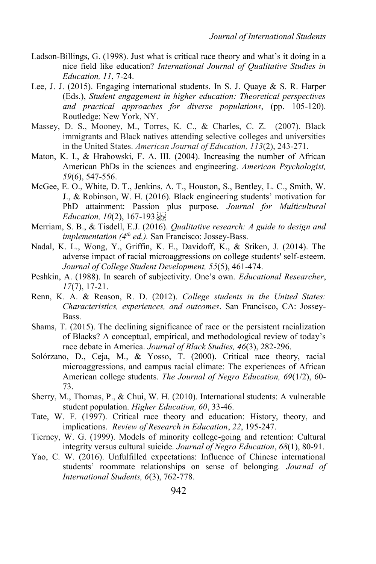- Ladson-Billings, G. (1998). Just what is critical race theory and what's it doing in a nice field like education? *International Journal of Qualitative Studies in Education, 11*, 7-24.
- Lee, J. J. (2015). Engaging international students. In S. J. Quaye & S. R. Harper (Eds.), *Student engagement in higher education: Theoretical perspectives and practical approaches for diverse populations*, (pp. 105-120). Routledge: New York, NY.
- Massey, D. S., Mooney, M., Torres, K. C., & Charles, C. Z. (2007). Black immigrants and Black natives attending selective colleges and universities in the United States. *American Journal of Education, 113*(2), 243-271.
- Maton, K. I., & Hrabowski, F. A. III. (2004). Increasing the number of African American PhDs in the sciences and engineering. *American Psychologist, 59*(6), 547-556.
- McGee, E. O., White, D. T., Jenkins, A. T., Houston, S., Bentley, L. C., Smith, W. J., & Robinson, W. H. (2016). Black engineering students' motivation for PhD attainment: Passion plus purpose. *Journal for Multicultural Education, 10*(2), 167-193.
- Merriam, S. B., & Tisdell, E.J. (2016). *Qualitative research: A guide to design and implementation (4th ed.).* San Francisco: Jossey-Bass.
- Nadal, K. L., Wong, Y., Griffin, K. E., Davidoff, K., & Sriken, J. (2014). The adverse impact of racial microaggressions on college students' self-esteem. *Journal of College Student Development, 55*(5), 461-474.
- Peshkin, A. (1988). In search of subjectivity. One's own. *Educational Researcher*, *17*(7), 17-21.
- Renn, K. A. & Reason, R. D. (2012). *College students in the United States: Characteristics, experiences, and outcomes*. San Francisco, CA: Jossey-Bass.
- Shams, T. (2015). The declining significance of race or the persistent racialization of Blacks? A conceptual, empirical, and methodological review of today's race debate in America. *Journal of Black Studies, 46*(3), 282-296.
- Solórzano, D., Ceja, M., & Yosso, T. (2000). Critical race theory, racial microaggressions, and campus racial climate: The experiences of African American college students. *The Journal of Negro Education, 69*(1/2), 60- 73.
- Sherry, M., Thomas, P., & Chui, W. H. (2010). International students: A vulnerable student population. *Higher Education, 60*, 33-46.
- Tate, W. F. (1997). Critical race theory and education: History, theory, and implications. *Review of Research in Education*, *22*, 195-247.
- Tierney, W. G. (1999). Models of minority college-going and retention: Cultural integrity versus cultural suicide. *Journal of Negro Education*, *68*(1), 80-91.
- Yao, C. W. (2016). Unfulfilled expectations: Influence of Chinese international students' roommate relationships on sense of belonging*. Journal of International Students, 6*(3), 762-778.